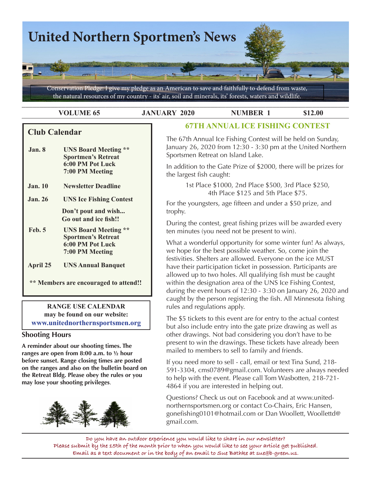

**VOLUME 65 JANUARY 2020 NUMBER 1** \$12.00

# **Club Calendar**

 **Jan. 8 UNS Board Meeting \*\* Sportmen's Retreat 6:00 PM Pot Luck 7:00 PM Meeting**

**Jan. 10 Newsletter Deadline**

**Jan. 26 UNS Ice Fishing Contest**

 **Don't pout and wish... Go out and ice fish!!**

 **Feb. 5 UNS Board Meeting \*\* Sportmen's Retreat 6:00 PM Pot Luck 7:00 PM Meeting**

**April 25 UNS Annual Banquet**

 **\*\* Members are encouraged to attend!!**

**RANGE USE CALENDAR may be found on our website: www.unitednorthernsportsmen.org**

## **Shooting Hours**

**A reminder about our shooting times. The ranges are open from 8:00 a.m. to ½ hour before sunset. Range closing times are posted on the ranges and also on the bulletin board on the Retreat Bldg. Please obey the rules or you may lose your shooting privileges**.



# **67TH ANNUAL ICE FISHING CONTEST**

The 67th Annual Ice Fishing Contest will be held on Sunday, January 26, 2020 from 12:30 - 3:30 pm at the United Northern Sportsmen Retreat on Island Lake.

In addition to the Gate Prize of \$2000, there will be prizes for the largest fish caught:

> 1st Place \$1000, 2nd Place \$500, 3rd Place \$250, 4th Place \$125 and 5th Place \$75.

For the youngsters, age fifteen and under a \$50 prize, and trophy.

During the contest, great fishing prizes will be awarded every ten minutes (you need not be present to win).

What a wonderful opportunity for some winter fun! As always, we hope for the best possible weather. So, come join the festivities. Shelters are allowed. Everyone on the ice MUST have their participation ticket in possession. Participants are allowed up to two holes. All qualifying fish must be caught within the designation area of the UNS Ice Fishing Contest, during the event hours of 12:30 - 3:30 on January 26, 2020 and caught by the person registering the fish. All Minnesota fishing rules and regulations apply.

The \$5 tickets to this event are for entry to the actual contest but also include entry into the gate prize drawing as well as other drawings. Not bad considering you don't have to be present to win the drawings. These tickets have already been mailed to members to sell to family and friends.

If you need more to sell - call, email or text Tina Sund, 218- 591-3304, cms0789@gmail.com. Volunteers are always needed to help with the event. Please call Tom Wasbotten, 218-721- 4864 if you are interested in helping out.

Questions? Check us out on Facebook and at www.unitednorthernsportsmen.org or contact Co-Chairs, Eric Hansen, gonefishing0101@hotmail.com or Dan Woollett, Woollettd@ gmail.com.

**Do you have an outdoor experience you would like to share in our newsletter? Please submit by the 15th of the month prior to when you would like to see your article get published. Email as a text document or in the body of an email to Sue Bathke at sue@b-green.us.**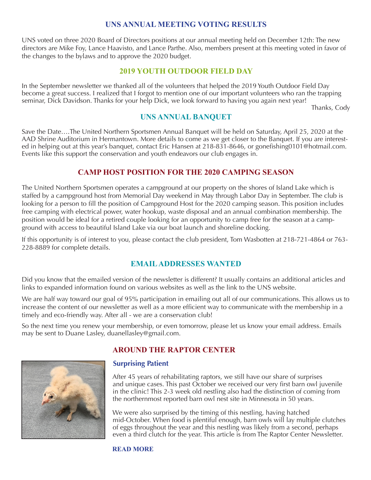### **UNS ANNUAL MEETING VOTING RESULTS**

UNS voted on three 2020 Board of Directors positions at our annual meeting held on December 12th: The new directors are Mike Foy, Lance Haavisto, and Lance Parthe. Also, members present at this meeting voted in favor of the changes to the bylaws and to approve the 2020 budget.

### **2019 YOUTH OUTDOOR FIELD DAY**

In the September newsletter we thanked all of the volunteers that helped the 2019 Youth Outdoor Field Day become a great success. I realized that I forgot to mention one of our important volunteers who ran the trapping seminar, Dick Davidson. Thanks for your help Dick, we look forward to having you again next year!

Thanks, Cody

# **UNS ANNUAL BANQUET**

Save the Date….The United Northern Sportsmen Annual Banquet will be held on Saturday, April 25, 2020 at the AAD Shrine Auditorium in Hermantown. More details to come as we get closer to the Banquet. If you are interested in helping out at this year's banquet, contact Eric Hansen at 218-831-8646, or gonefishing0101@hotmail.com. Events like this support the conservation and youth endeavors our club engages in.

## **CAMP HOST POSITION FOR THE 2020 CAMPING SEASON**

The United Northern Sportsmen operates a campground at our property on the shores of Island Lake which is staffed by a campground host from Memorial Day weekend in May through Labor Day in September. The club is looking for a person to fill the position of Campground Host for the 2020 camping season. This position includes free camping with electrical power, water hookup, waste disposal and an annual combination membership. The position would be ideal for a retired couple looking for an opportunity to camp free for the season at a campground with access to beautiful Island Lake via our boat launch and shoreline docking.

If this opportunity is of interest to you, please contact the club president, Tom Wasbotten at 218-721-4864 or 763- 228-8889 for complete details.

## **EMAIL ADDRESSES WANTED**

Did you know that the emailed version of the newsletter is different? It usually contains an additional articles and links to expanded information found on various websites as well as the link to the UNS website.

We are half way toward our goal of 95% participation in emailing out all of our communications. This allows us to increase the content of our newsletter as well as a more efficient way to communicate with the membership in a timely and eco-friendly way. After all - we are a conservation club!

So the next time you renew your membership, or even tomorrow, please let us know your email address. Emails may be sent to Duane Lasley, duanellasley@gmail.com.



## **AROUND THE RAPTOR CENTER**

### **Surprising Patient**

 After 45 years of rehabilitating raptors, we still have our share of surprises and unique cases. This past October we received our very first barn owl juvenile in the clinic! This 2-3 week old nestling also had the distinction of coming from the northernmost reported barn owl nest site in Minnesota in 50 years.

 We were also surprised by the timing of this nestling, having hatched mid-October. When food is plentiful enough, barn owls will lay multiple clutches of eggs throughout the year and this nestling was likely from a second, perhaps even a third clutch for the year. This article is from The Raptor Center Newsletter.

#### **[READ MORE](https://www.raptor.umn.edu/news/first-nestling-barn-owl-trc)**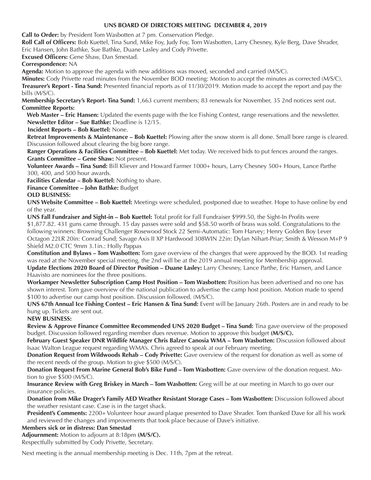#### **UNS BOARD OF DIRECTORS MEETING DECEMBER 4, 2019**

**Call to Order:** by President Tom Wasbotten at 7 pm. Conservation Pledge.

**Roll Call of Officers:** Bob Kuettel, Tina Sund, Mike Foy, Judy Foy, Tom Wasbotten, Larry Chesney, Kyle Berg, Dave Shrader, Eric Hansen, John Bathke, Sue Bathke, Duane Lasley and Cody Privette.

**Excused Officers:** Gene Shaw, Dan Smestad.

#### **Correspondence:** NA

**Agenda:** Motion to approve the agenda with new additions was moved, seconded and carried (M/S/C).

**Minutes:** Cody Privette read minutes from the November BOD meeting: Motion to accept the minutes as corrected (M/S/C). **Treasurer's Report - Tina Sund:** Presented financial reports as of 11/30/2019. Motion made to accept the report and pay the bills (M/S/C).

**Membership Secretary's Report- Tina Sund:** 1,663 current members; 83 renewals for November, 35 2nd notices sent out. **Committee Reports:**

 **Web Master – Eric Hansen:** Updated the events page with the Ice Fishing Contest, range reservations and the newsletter. **Newsletter Editor – Sue Bathke:** Deadline is 12/15.

**Incident Reports – Bob Kuettel:** None.

**Retreat Improvements & Maintenance – Bob Kuettel:** Plowing after the snow storm is all done. Small bore range is cleared. Discussion followed about clearing the big bore range.

**Ranger Operations & Facilities Committee – Bob Kuettel:** Met today. We received bids to put fences around the ranges. **Grants Committee – Gene Shaw:** Not present.

**Volunteer Awards – Tina Sund:** Bill Kliever and Howard Farmer 1000+ hours, Larry Chesney 500+ Hours, Lance Parthe 300, 400, and 500 hour awards.

**Facilities Calendar – Bob Kuettel:** Nothing to share.

**Finance Committee – John Bathke:** Budget

#### **OLD BUSINESS:**

**UNS Website Committee – Bob Kuettel:** Meetings were scheduled, postponed due to weather. Hope to have online by end of the year.

**UNS Fall Fundraiser and Sight-in – Bob Kuettel:** Total profit for Fall Fundraiser \$999.50, the Sight-In Profits were \$1,877.82. 431 guns came through. 15 day passes were sold and \$58.50 worth of brass was sold. Congratulations to the following winners: Browning Challenger Rosewood Stock 22 Semi-Automatic: Tom Harvey; Henry Golden Boy Lever Octagon 22LR 20in: Conrad Sund; Savage Axis II XP Hardwood 308WIN 22in: Dylan Nihart-Priar; Smith & Wesson M+P 9 Shield M2.0 CTC 9mm 3.1in.: Holly Pappas

**Constitution and Bylaws – Tom Wasbotten:** Tom gave overview of the changes that were approved by the BOD. 1st reading was read at the November special meeting, the 2nd will be at the 2019 annual meeting for Membership approval.

**Update Elections 2020 Board of Director Position – Duane Lasley:** Larry Chesney, Lance Parthe, Eric Hansen, and Lance Haavisto are nominees for the three positions.

**Workamper Newsletter Subscription Camp Host Position – Tom Wasbotten:** Position has been advertised and no one has shown interest. Tom gave overview of the national publication to advertise the camp host position. Motion made to spend \$100 to advertise our camp host position. Discussion followed. (M/S/C).

**UNS 67th Annual Ice Fishing Contest – Eric Hansen & Tina Sund:** Event will be January 26th. Posters are in and ready to be hung up. Tickets are sent out.

**NEW BUSINESS:**

**Review & Approve Finance Committee Recommended UNS 2020 Budget – Tina Sund:** Tina gave overview of the proposed budget. Discussion followed regarding member dues revenue. Motion to approve this budget **(M/S/C).**

**February Guest Speaker DNR Wildlife Manager Chris Balzer Canosia WMA – Tom Wasbotten:** Discussion followed about Isaac Walton League request regarding WMA's. Chris agreed to speak at our February meeting.

**Donation Request from Wildwoods Rehab – Cody Privette:** Gave overview of the request for donation as well as some of the recent needs of the group. Motion to give \$500 (M/S/C).

**Donation Request From Marine General Bob's Bike Fund – Tom Wasbotten:** Gave overview of the donation request. Motion to give \$500 (M/S/C).

**Insurance Review with Greg Briskey in March – Tom Wasbotten:** Greg will be at our meeting in March to go over our insurance policies.

**Donation from Mike Drager's Family AED Weather Resistant Storage Cases – Tom Wasbotten:** Discussion followed about the weather resistant case. Case is in the target shack.

**President's Comments:** 2200+ Volunteer hour award plaque presented to Dave Shrader. Tom thanked Dave for all his work and reviewed the changes and improvements that took place because of Dave's initiative.

#### **Members sick or in distress: Dan Smestad**

**Adjournment:** Motion to adjourn at 8:18pm **(M/S/C).**

Respectfully submitted by Cody Privette, Secretary.

Next meeting is the annual membership meeting is Dec. 11th, 7pm at the retreat.